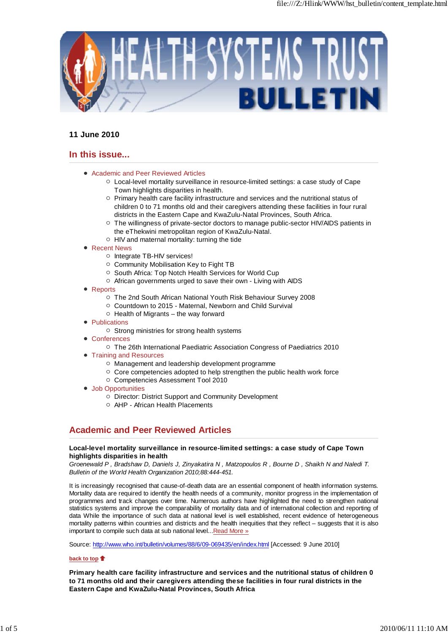

# **11 June 2010**

# **In this issue...**

- Academic and Peer Reviewed Articles
	- $\circ$  Local-level mortality surveillance in resource-limited settings: a case study of Cape Town highlights disparities in health.
	- o Primary health care facility infrastructure and services and the nutritional status of children 0 to 71 months old and their caregivers attending these facilities in four rural districts in the Eastern Cape and KwaZulu-Natal Provinces, South Africa.
	- $\circ$  The willingness of private-sector doctors to manage public-sector HIV/AIDS patients in the eThekwini metropolitan region of KwaZulu-Natal.
	- $\circ$  HIV and maternal mortality: turning the tide
- Recent News
	- o Integrate TB-HIV services!
	- Community Mobilisation Key to Fight TB
	- South Africa: Top Notch Health Services for World Cup
	- $\circ$  African governments urged to save their own Living with AIDS
- Reports
	- The 2nd South African National Youth Risk Behaviour Survey 2008
	- Countdown to 2015 Maternal, Newborn and Child Survival
	- $\circ$  Health of Migrants the way forward
- **Publications** 
	- $\circ$  Strong ministries for strong health systems
- **Conferences** 
	- The 26th International Paediatric Association Congress of Paediatrics 2010
- Training and Resources
	- Management and leadership development programme
	- $\circ$  Core competencies adopted to help strengthen the public health work force
	- Competencies Assessment Tool 2010
- Job Opportunities
	- Director: District Support and Community Development
	- AHP African Health Placements

# **Academic and Peer Reviewed Articles**

#### **Local-level mortality surveillance in resource-limited settings: a case study of Cape Town highlights disparities in health**

*Groenewald P , Bradshaw D, Daniels J, Zinyakatira N , Matzopoulos R , Bourne D , Shaikh N and Naledi T. Bulletin of the World Health Organization 2010;88:444-451.*

It is increasingly recognised that cause-of-death data are an essential component of health information systems. Mortality data are required to identify the health needs of a community, monitor progress in the implementation of programmes and track changes over time. Numerous authors have highlighted the need to strengthen national statistics systems and improve the comparability of mortality data and of international collection and reporting of data While the importance of such data at national level is well established, recent evidence of heterogeneous mortality patterns within countries and districts and the health inequities that they reflect – suggests that it is also important to compile such data at sub national level...Read More »

Source: http://www.who.int/bulletin/volumes/88/6/09-069435/en/index.html [Accessed: 9 June 2010]

#### **back to top**

**Primary health care facility infrastructure and services and the nutritional status of children 0 to 71 months old and their caregivers attending these facilities in four rural districts in the Eastern Cape and KwaZulu-Natal Provinces, South Africa**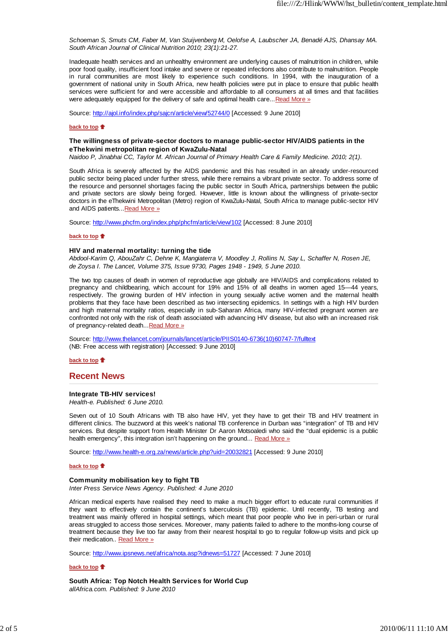*Schoeman S, Smuts CM, Faber M, Van Stuijvenberg M, Oelofse A, Laubscher JA, Benadé AJS, Dhansay MA. South African Journal of Clinical Nutrition 2010; 23(1):21-27.*

Inadequate health services and an unhealthy environment are underlying causes of malnutrition in children, while poor food quality, insufficient food intake and severe or repeated infections also contribute to malnutrition. People in rural communities are most likely to experience such conditions. In 1994, with the inauguration of a government of national unity in South Africa, new health policies were put in place to ensure that public health services were sufficient for and were accessible and affordable to all consumers at all times and that facilities were adequately equipped for the delivery of safe and optimal health care... Read More »

Source: http://ajol.info/index.php/sajcn/article/view/52744/0 [Accessed: 9 June 2010]

#### **back to top**

#### **The willingness of private-sector doctors to manage public-sector HIV/AIDS patients in the eThekwini metropolitan region of KwaZulu-Natal**

*Naidoo P, Jinabhai CC, Taylor M. African Journal of Primary Health Care & Family Medicine. 2010; 2(1).*

South Africa is severely affected by the AIDS pandemic and this has resulted in an already under-resourced public sector being placed under further stress, while there remains a vibrant private sector. To address some of the resource and personnel shortages facing the public sector in South Africa, partnerships between the public and private sectors are slowly being forged. However, little is known about the willingness of private-sector doctors in the eThekwini Metropolitan (Metro) region of KwaZulu-Natal, South Africa to manage public-sector HIV and AIDS patients...Read More »

Source: http://www.phcfm.org/index.php/phcfm/article/view/102 [Accessed: 8 June 2010]

#### **back to top**

#### **HIV and maternal mortality: turning the tide**

*Abdool-Karim Q, AbouZahr C, Dehne K, Mangiaterra V, Moodley J, Rollins N, Say L, Schaffer N, Rosen JE, de Zoysa I. The Lancet, Volume 375, Issue 9730, Pages 1948 - 1949, 5 June 2010.*

The two top causes of death in women of reproductive age globally are HIV/AIDS and complications related to pregnancy and childbearing, which account for 19% and 15% of all deaths in women aged 15—44 years, respectively. The growing burden of HIV infection in young sexually active women and the maternal health problems that they face have been described as two intersecting epidemics. In settings with a high HIV burden and high maternal mortality ratios, especially in sub-Saharan Africa, many HIV-infected pregnant women are confronted not only with the risk of death associated with advancing HIV disease, but also with an increased risk of pregnancy-related death...Read More »

Source: http://www.thelancet.com/journals/lancet/article/PIIS0140-6736(10)60747-7/fulltext (NB: Free access with registration) [Accessed: 9 June 2010]

**back to top**

### **Recent News**

#### **Integrate TB-HIV services!**

*Health-e. Published: 6 June 2010.*

Seven out of 10 South Africans with TB also have HIV, yet they have to get their TB and HIV treatment in different clinics. The buzzword at this week's national TB conference in Durban was "integration" of TB and HIV services. But despite support from Health Minister Dr Aaron Motsoaledi who said the "dual epidemic is a public health emergency", this integration isn't happening on the ground... Read More »

Source: http://www.health-e.org.za/news/article.php?uid=20032821 [Accessed: 9 June 2010]

#### **back to top**

#### **Community mobilisation key to fight TB**

*Inter Press Service News Agency. Published: 4 June 2010*

African medical experts have realised they need to make a much bigger effort to educate rural communities if they want to effectively contain the continent's tuberculosis (TB) epidemic. Until recently, TB testing and treatment was mainly offered in hospital settings, which meant that poor people who live in peri-urban or rural areas struggled to access those services. Moreover, many patients failed to adhere to the months-long course of treatment because they live too far away from their nearest hospital to go to regular follow-up visits and pick up their medication.. Read More »

Source: http://www.ipsnews.net/africa/nota.asp?idnews=51727 [Accessed: 7 June 2010]

#### **back to top**

**South Africa: Top Notch Health Services for World Cup**

*allAfrica.com. Published: 9 June 2010*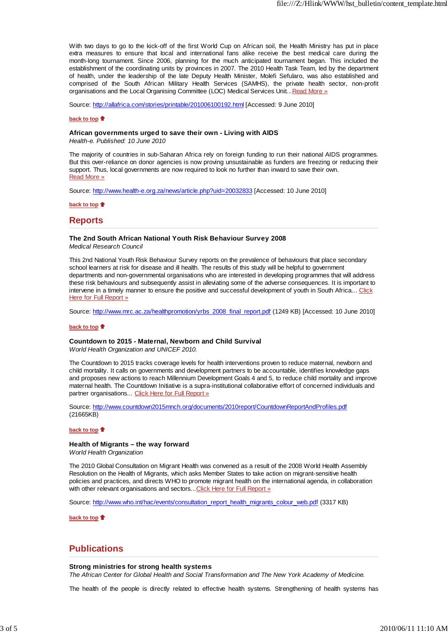With two days to go to the kick-off of the first World Cup on African soil, the Health Ministry has put in place extra measures to ensure that local and international fans alike receive the best medical care during the month-long tournament. Since 2006, planning for the much anticipated tournament began. This included the establishment of the coordinating units by provinces in 2007. The 2010 Health Task Team, led by the department of health, under the leadership of the late Deputy Health Minister, Molefi Sefularo, was also established and comprised of the South African Military Health Services (SAMHS), the private health sector, non-profit organisations and the Local Organising Committee (LOC) Medical Services Unit...Read More »

Source: http://allafrica.com/stories/printable/201006100192.html [Accessed: 9 June 2010]

#### **back to top**

#### **African governments urged to save their own - Living with AIDS**

*Health-e. Published: 10 June 2010*

The majority of countries in sub-Saharan Africa rely on foreign funding to run their national AIDS programmes. But this over-reliance on donor agencies is now proving unsustainable as funders are freezing or reducing their support. Thus, local governments are now required to look no further than inward to save their own. Read More »

Source: http://www.health-e.org.za/news/article.php?uid=20032833 [Accessed: 10 June 2010]

**back to top**

### **Reports**

#### **The 2nd South African National Youth Risk Behaviour Survey 2008**

*Medical Research Council*

This 2nd National Youth Risk Behaviour Survey reports on the prevalence of behaviours that place secondary school learners at risk for disease and ill health. The results of this study will be helpful to government departments and non-governmental organisations who are interested in developing programmes that will address these risk behaviours and subsequently assist in alleviating some of the adverse consequences. It is important to intervene in a timely manner to ensure the positive and successful development of youth in South Africa... Click Here for Full Report »

Source: http://www.mrc.ac.za/healthpromotion/yrbs\_2008\_final\_report.pdf (1249 KB) [Accessed: 10 June 2010]

#### **back to top**

#### **Countdown to 2015 - Maternal, Newborn and Child Survival**

*World Health Organization and UNICEF 2010.*

The Countdown to 2015 tracks coverage levels for health interventions proven to reduce maternal, newborn and child mortality. It calls on governments and development partners to be accountable, identifies knowledge gaps and proposes new actions to reach Millennium Development Goals 4 and 5, to reduce child mortality and improve maternal health. The Countdown Initiative is a supra-institutional collaborative effort of concerned individuals and partner organisations... Click Here for Full Report »

Source: http://www.countdown2015mnch.org/documents/2010report/CountdownReportAndProfiles.pdf (21665KB)

#### **back to top**

#### **Health of Migrants – the way forward**

*World Health Organization*

The 2010 Global Consultation on Migrant Health was convened as a result of the 2008 World Health Assembly Resolution on the Health of Migrants, which asks Member States to take action on migrant-sensitive health policies and practices, and directs WHO to promote migrant health on the international agenda, in collaboration with other relevant organisations and sectors... Click Here for Full Report »

Source: http://www.who.int/hac/events/consultation\_report\_health\_migrants\_colour\_web.pdf (3317 KB)

**back to top**

### **Publications**

#### **Strong ministries for strong health systems**

*The African Center for Global Health and Social Transformation and The New York Academy of Medicine.*

The health of the people is directly related to effective health systems. Strengthening of health systems has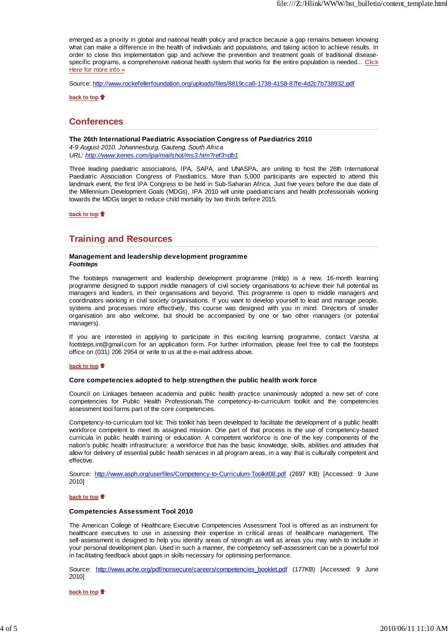emerged as a priority in global and national health policy and practice because a gap remains between knowing what can make a difference in the health of individuals and populations, and taking action to achieve results. In order to close this implementation gap and achieve the prevention and treatment goals of traditional diseasespecific programs, a comprehensive national health system that works for the entire population is needed... Click Here for more info »

Source: http://www.rockefellerfoundation.org/uploads/files/8819cca6-1738-4158-87fe-4d2c7b738932.pdf

**back to top**

### **Conferences**

#### **The 26th International Paediatric Association Congress of Paediatrics 2010**

*4-9 August 2010. Johannesburg, Gauteng, South Africa URL: http://www.kenes.com/ipa/mailshot/ms3.htm?ref3=db1*

Three leading paediatric associations, IPA, SAPA, and UNASPA, are uniting to host the 26th International Paediatric Association Congress of Paediatrics. More than 5,000 participants are expected to attend this landmark event, the first IPA Congress to be held in Sub-Saharan Africa. Just five years before the due date of the Millennium Development Goals (MDGs), IPA 2010 will unite paediatricians and health professionals working towards the MDGs target to reduce child mortality by two thirds before 2015.

**back to top**

### **Training and Resources**

#### **Management and leadership development programme** *Footsteps*

The footsteps management and leadership development programme (mldp) is a new, 16-month learning programme designed to support middle managers of civil society organisations to achieve their full potential as managers and leaders, in their organisations and beyond. This programme is open to middle managers and coordinators working in civil society organisations. If you want to develop yourself to lead and manage people, systems and processes more effectively, this course was designed with you in mind. Directors of smaller organisation are also welcome, but should be accompanied by one or two other managers (or potential managers).

If you are interested in applying to participate in this exciting learning programme, contact Varsha at footsteps.int@gmail.com for an application form. For further information, please feel free to call the footsteps office on (031) 206 2954 or write to us at the e-mail address above.

#### **back to top**

#### **Core competencies adopted to help strengthen the public health work force**

Council on Linkages between academia and public health practice unanimously adopted a new set of core competencies for Public Health Professionals.The competency-to-curriculum toolkit and the competencies assessment tool forms part of the core competencies.

Competency-to-curriculum tool kit: This toolkit has been developed to facilitate the development of a public health workforce competent to meet its assigned mission. One part of that process is the use of competency-based curricula in public health training or education. A competent workforce is one of the key components of the nation's public health infrastructure: a workforce that has the basic knowledge, skills, abilities and attitudes that allow for delivery of essential public health services in all program areas, in a way that is culturally competent and effective.

Source: http://www.asph.org/userfiles/Competency-to-Curriculum-Toolkit08.pdf (2697 KB) [Accessed: 9 June 2010]

#### **back to top**

#### **Competencies Assessment Tool 2010**

The American College of Healthcare Executive Competencies Assessment Tool is offered as an instrument for healthcare executives to use in assessing their expertise in critical areas of healthcare management. The self-assessment is designed to help you identify areas of strength as well as areas you may wish to include in your personal development plan. Used in such a manner, the competency self-assessment can be a powerful tool in facilitating feedback about gaps in skills necessary for optimising performance.

Source: http://www.ache.org/pdf/nonsecure/careers/competencies\_booklet.pdf (177KB) [Accessed: 9 June 2010]